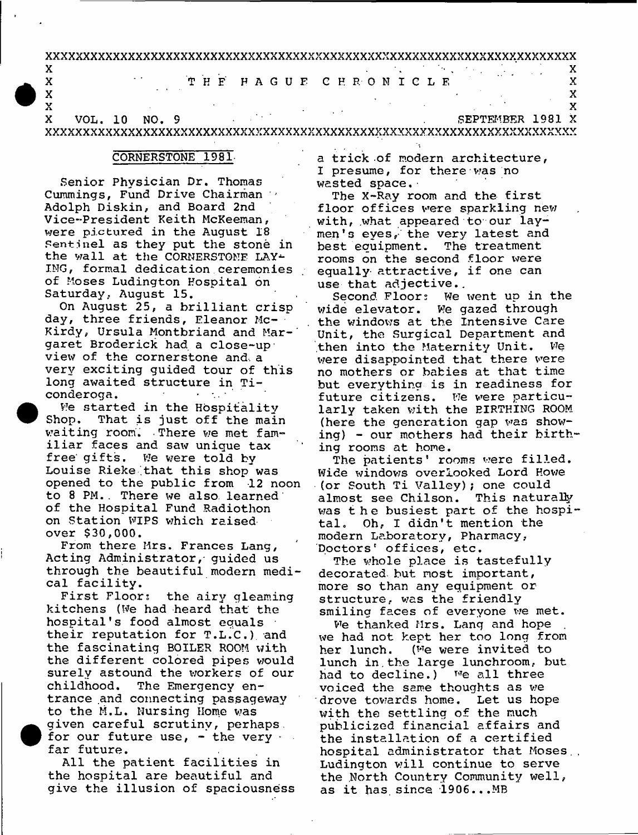xxxxxxxxxxxxxxxxxxxxxxxxxxxxxxxxxxxxxxxxxxxxxxxxxxxxxxxxxxxxxxxxxxxxxxx

X . X X T H E F A G U F C H R O N I C L E X X X  $\mathbf X$  is a set of the set of the set of the set of the set of the set of the set of the set of the set of the set of the set of the set of the set of the set of the set of the set of the set of the set of the set of the

 $\mathbf X$  is a set of the set of the set of the set of the set of the set of the set of the set of the set of the set of the set of the set of the set of the set of the set of the set of the set of the set of the set of the X VOL. 10 NO. 9 SEPTEMBER 1981 X XXXXXXXXXXXXXXXXXXXXXXXXXXXXXXXXXXXXXXXXXXXXXXXXXXXXXXXXXXXXXXXXXXXXXXX

## CORNERSTONE 1981-

Senior Physician Dr. Thomas Cummings, Fund Drive Chairman ' Adolph Diskin, and Board 2nd Vice-President Keith McKeeman, were pictured in the August 18 Sentinel as they put the stone in the wall at the CORNERSTONE LAY-ING, formal dedication ceremonies of Moses Ludington Hospital on Saturday, August 15.

On August 25, a brilliant crisp day, three friends, Eleanor Mc-Kirdy, Ursula Montbriand and Mar-' garet Broderick had a close-up view of the cornerstone and. a very exciting guided tour of this long awaited structure in Ticonderoga.  $\sim 10^{-11}$  $\mathcal{A}^{\mathcal{A}}$  and  $\mathcal{A}^{\mathcal{A}}$ 

We started in the Hospitality Shop. That is just off the main waiting room. There we met familiar faces and saw unique tax free' gifts. We were told by Louise Rieke that this shop was opened to the public from 12 noon to 8 PM.. There we also, learned' of the Hospital Fund Radiothon on Station WIPS which raised over \$30,000.

From there Mrs. Frances Lang, Acting Administrator, guided us through the beautiful modern medical facility.

First Floor; the airy gleaming kitchens (We had heard that the hospital's food almost equals their reputation for T.L.C.), and the fascinating BOILER ROOM with the different colored pipes would surely astound the workers of our childhood. The Emergency entrance and connecting passageway to the M.L. Nursing Home was given careful scrutiny, perhaps. for our future use,  $-$  the very  $\cdot$ far future.

All the patient facilities in the hospital are beautiful and give the illusion of spaciousness a trick-of modern architecture, I presume, for there was no wasted space.

The X-Ray room and the first floor offices were sparkling new with, what appeared to our laymen's eyes, the very latest and best equipment. The treatment rooms on the second floor were equally- attractive, if one can use that adjective..

Second Floors We went up in the wide elevator. We gazed through the windows at the Intensive Care Unit, the Surgical Department and then into the Maternity Unit. We were disappointed that there were no mothers or babies at that time but everything is in readiness for future citizens. We were particularly taken with the RIRTHING ROOM (here the generation gap was showing) - our mothers had their birthing rooms at home.

The patients' rooms were filled. Wide windows overlooked Lord Howe (or South Ti Valley); one could almost see Chilson. This naturally was the busiest part of the hospital. Oh, I didn't mention the modern Laboratory, Pharmacy, Doctors' offices, etc.

The whole place is tastefully decorated, but most important, more so than any equipment or structure, was the friendly smiling faces of everyone we met.

We thanked Mrs. Lang and hope we had not kept her too long from her lunch. (we were invited to lunch in the large lunchroom, but had to decline.) we all three voiced the same thoughts as we drove towards home. Let us hope with the settling of the much publicized financial affairs and the installation of a certified hospital administrator that Moses., Ludington will continue to serve the North Country Community well, as it has since 1906...MB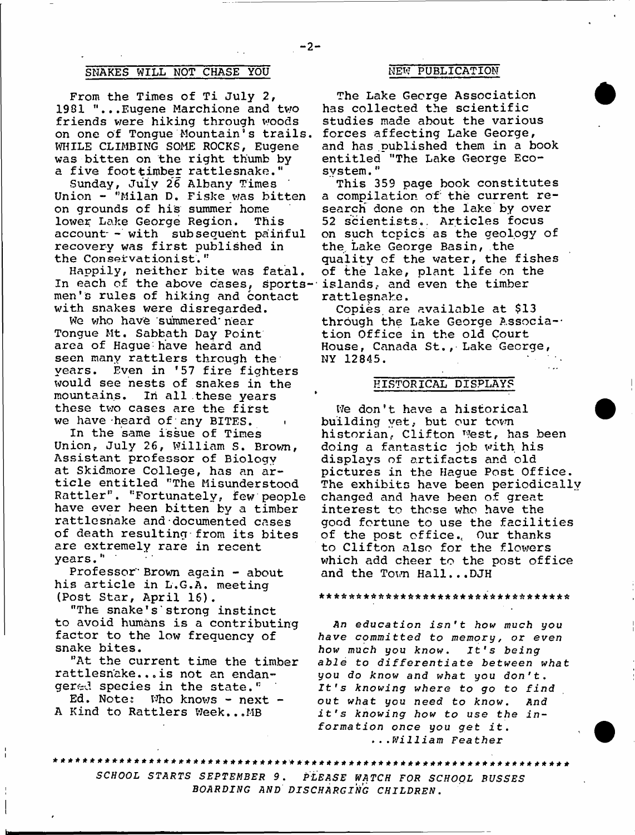# SNAKES WILL NOT CHASE YOU NEW PUBLICATION

From the Times of Ti July 2, 1981 "...Eugene Marchione and two friends were hiking through woods on one of Tongue Mountain's trails WHILE CLIMBING SOME ROCKS, Eugene was bitten on the right thumb by a five foottimber rattlesnake."

Sunday, July 26 Albany Times Union - "Milan D. Fiske was bitten on grounds of his summer home lower Lake George Region. This account- - with subsequent painful recovery was first published in the Conservationist."

Happily, neither bite was fatal. In each of the above cases, sports- islands, and even the timber men's rules of hiking and contact with snakes were disregarded.

We who have 'summered' near Tongue Mt. Sabbath Day Point area of Hague have heard and seen many rattlers through the years. Even in \*57 fire fighters would see nests of snakes in the mountains. In all these years these two cases are the first we have heard of any BITES.

In the same issue of Times Union, July 26, William S. Brown, Assistant professor of Biology at Skidmore College, has an article entitled "The Misunderstood Rattler", "Fortunately, few people have ever been bitten by a timber rattlesnake and-documented cases of death resulting-from its bites are extremely rare in recent years."

Professor Brown again - about his article in L.G.A, meeting (Post Star, April 16).

"The snake's strong instinct to avoid humans is a contributing factor to the low frequency of snake bites.

"At the current time the timber rattlesnake...is not an endangered species in the state."

Ed. Note: Who knows - next -A Kind to Rattlers Week...MB

The Lake George Association has collected the scientific studies made about the various forces affecting Lake George, and has published them in a book entitled "The Lake George Ecosystem. "

This 359 page book constitutes a compilation of the current research done on the lake by over 52 scientists.. Articles focus on such topics as the geology of the. Lake George Basin, the quality of the water, the fishes of the lake, plant life on the rattlesnake.

Copies are available at \$13 through the Lake George Association Office in the old Court House, Canada St., Lake George, NY 12845.

## HISTORICAL DISPLAYS

We don't have a historical building yet, but our town historian, Clifton West, has been doing a fantastic job with, his displays of artifacts and old pictures in the Hague Post Office. The exhibits have been periodically changed and have been of great interest to those who have the good fortune to use the facilities of the post office., Our thanks to Clifton also for the flowers which add cheer to the post office and the Town Hall...DJH

### a \* \* \* \* \* \* \* \* \* \* \* \* \* \* \* \* \* \* \* \* \* \* \* \* \* \* \* \* \* \* \* \* \*

*An education isn't how much you* have committed to memory, or even *how much you know. It's being* able to differentiate between what *you do know and what you don't. It's knowing where to go to find out what you need to know. And* it's knowing how to use the in*formation once you get i t* **.** *...William Feather*

*SCHOOL STARTS SEPTEMBER* **9.** *PLEASE WATCH FOR SCHOOL BUSSES BOARDING AND DISCHARGING CHILDREN* **.**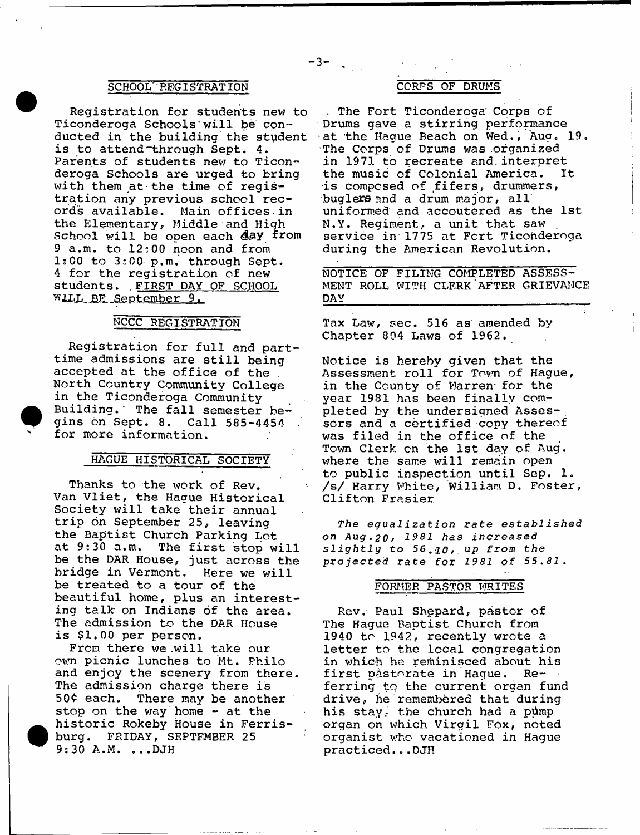## SCHOOL REGISTRATION CORPS OF DRUMS

Registration for students nev; to Ticonderoga Schools' will be conducted in the building the student is to attend through Sept. 4. Parents of students new to Ticonderoga Schools are urged to bring with them at the time of registration any previous school records available. Main offices-in the Elementary, Middle and High School will be open each *&&Y* from 9 a.m. to 12;00 noon and from 1:00 to 3:00- p.m. through Sept. 4 for the registration of new students. FIRST DAY OF SCHOOL wllL\_BE\_September 9.

# NCCC REGISTRATION

Registration for full and parttime admissions are still being accepted at the office of the . North Country Community College in the Ticonderoga Community Building.' The fall semester begins on Sept. 8. Call 585-4454 for more information.

# HAGUE HISTORICAL SOCIETY

Thanks to the work of Rev. Van Vliet, the Hague Historical Society will take their annual trip on September 25, leaving the Baptist Church Parking Lot<br>at 9:30 a.m. The first stop w The first stop will be the DAR House, just across the bridge in Vermont. Here we will be treated to a tour of the beautiful home, plus an interesting talk on Indians of the area. The admission to the DAR House is \$1.00 per person.

From there we will take our own picnic lunches to Mt. Philo and enjoy the scenery from there. The admission charge there is 50¢ each. There may be another stop on the way home - at the historic Rokeby House in Ferrisburg. FRIDAY, SEPTEMBER 25 9:30 A.M. ...DJH

 $-3 \frac{1}{2}$ 

, The Fort Ticonderoga' Corps of Drums gave a stirring performance -at the Hague Beach on Wed., Aug. 19. The Corps of Drums was organized in 1971 to recreate and.interpret the music of Colonial America. It is composed of fifers, drummers, buglers and a drum major, all' uniformed and accoutered as the 1st N.Y. Regiment, a unit that saw , service in 1775 at Fort Ticonderoga during the American Revolution.

NOTICE OF FILING COMPLETED ASSESS-MENT ROLL WITH CLERK'AFTER GRIEVANCE **DAY** 

Tax Law, sec. 516 as' amended by Chapter 804 Laws of 1962.

Notice is hereby given that the Assessment roll for Town of Hague, in the County of Warren for the year 1931 has been finally completed by the undersigned Assessors and a certified copy thereof was filed in the office of the Town Clerk cn the 1st day of Aug. where the same will remain open to public inspection until Sep. 1. /s/ Harry White, William D. Foster, Clifton Frasier.

*The equalization rate established on A u g ,20 f 1981 has i n c r e a s e d slightly to* **56.** *JO,* **up from** *the projected rate for 1981 of 55,81,*

### FORMER PASTOR WRITES

Rev.- Paul Shepard, pastor of The Hague Baptist Church from 1940 to 1942, recently wrote a letter to the local congregation in which he reminisced about his first pastorate in Hague. Re- • ferring to the current organ fund drive, he remembered that during his stay, the church had a pump organ on which Virgil Fox, noted organist who vacationed in Hague practiced...DJH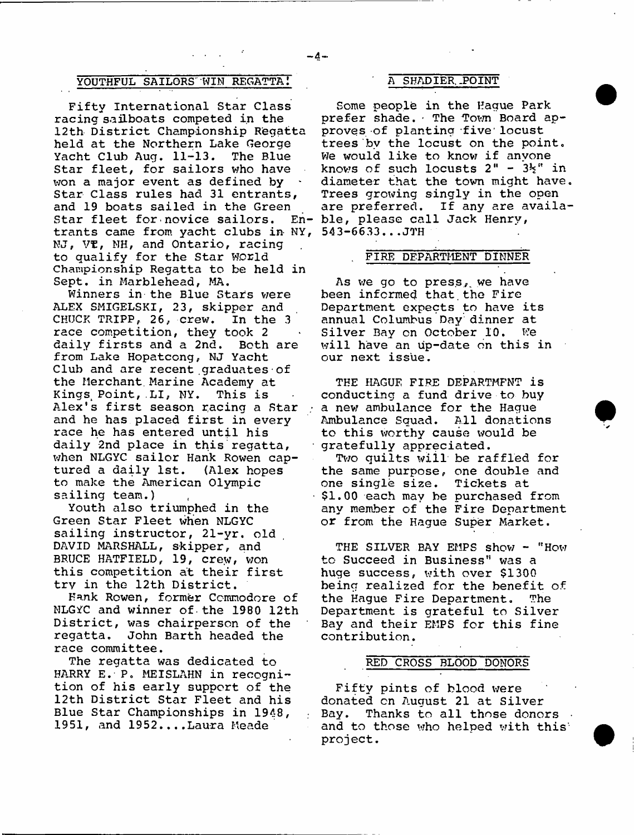## YOUTHFUL SAILORS WIN REGATTA! A SHADIER POINT

Fifty International Star Class racing sailboats competed in the 12th District Championship Regatta held at the Northern Lake George Yacht Club Aug. 11-13. The Blue Star fleet, for sailors who have won a major event as defined by Star Class rules had 31 entrants, and 19 boats sailed in the Green Star fleet for novice sailors. trants came from yacht clubs in NY, 543-6633...JTH NJ, VE, NH, and Ontario, racing to qualify for the Star world Championship Regatta to be held in Sept. in Marblehead, MA.

Winners in the Blue Stars were ALEX SMIGELSKI, 23, skipper and CHUCK TRIPP, 26, crew. In the 3 race competition, they took 2 daily firsts and a 2nd. Both are from Lake Hopatcong, NJ Yacht Club and are recent graduates of the Merchant. Marine Academy at Kings Point, LI, NY. This is Alex's first season racing a Star and he has placed first in every race he has entered until his daily 2nd place in this regatta, when NLGYC sailor Hank Rowen captured a daily 1st. (Alex hopes to make the American Olympic sailing team.)

Youth also triumphed in the Green Star Fleet when NLGYC sailing instructor, 21-yr. old DAVID MARSHALL, skipper, and BRUCE HATFIELD, 19, crew, won this competition at their first try in the 12th District.

Hank Rowen, former Commodore of NLGYC and winner of-the 1980 12th District, was chairperson of the regatta. John Barth headed the race committee.

The regatta was dedicated to HARRY E. P. MEISLAHN in recognition of his early support of the 12th District Star Fleet and his Blue Star Championships in 1948, 1951, and 1952....Laura Meade

Some people in the Hague Park prefer shade. The Town Board approves of planting five'locust trees bv the locust on the point. We would like to know if anyone knows of such locusts  $2" - 3\frac{1}{2}"$  in diameter that the town might have Trees growing singly in the open are preferred. If any are availa ble, please call Jack Henry,

### . FIRE DEPARTMENT DINNER

As we go to press, we have been informed that the Fire Department expects to have its annual Columbus Day dinner at Silver Bay on October 10. We will have an up-date on this in our next issue.

THE HAGUE FIRE DEPARTMFNT is conducting a fund drive to buy a nev; ambulance for the Hague Ambulance Squad. All donations to this worthy cause would be gratefully appreciated.

Two quilts will be raffled for the same purpose, one double and one single size. Tickets at \$1.00 each may be purchased from any member of the Fire Department or from the Hague Super Market.

THE SILVER BAY EMPS show - "How to Succeed in Business" was a huge success, with over \$1300 being realized for the benefit of the Hague Fire Department. The Department is grateful to Silver Bay and their EMPS for this fine contribution.

# RED CROSS BLOOD DONORS

Fifty pints of blood were donated cn August 21 at Silver<br>Bay. Thanks to all those dono Thanks to all those donors. and to those who helped with this project.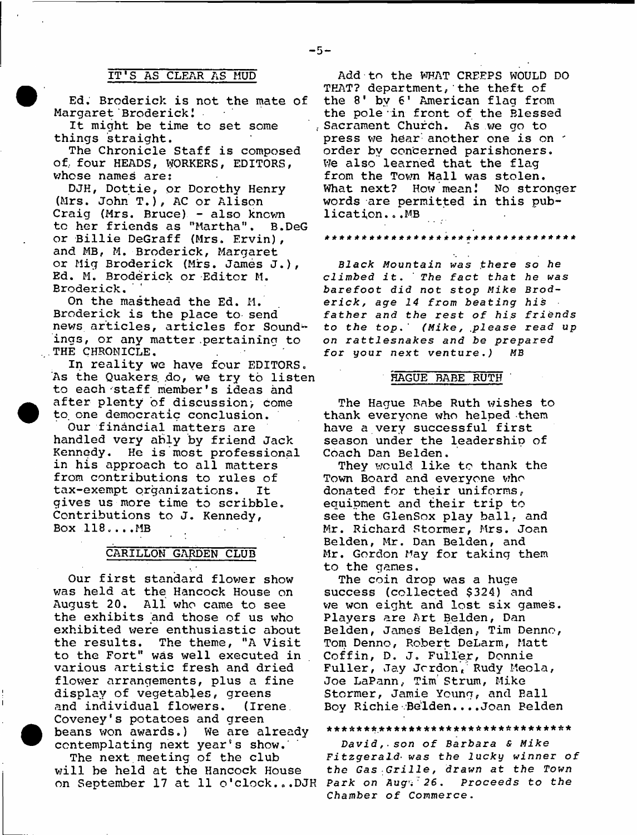## IT'S AS CLEAR AS MUD

Ed. Broderick is not the mate of Margaret Broderick!

It might be time to set some things straight.

The Chronicle Staff is composed of., four HEADS, WORKERS, EDITORS, whose names are:

DJH, Dottie, or Dorothy Henry (Mrs. John T.), AC or Alison Craig (Mrs. Bruce) - also known to her friends as "Martha", B.DeG or Billie DeGraff (Mrs. Ervin), and MB, M. Broderick, Margaret or Mig Broderick (Mrs. James J.), Ed. M. Broderick or Editor M. Broderick.

On the masthead the Ed. M. Broderick is the place to send news articles, articles for Soundings, or any matter pertaining to THE CHRONICLE.

In reality we have four EDITORS. As the Quakers do, we try to listen to each-staff member's ideas and after plenty of discussion; come to, one democratic conclusion.

Our financial matters are handled very ably by friend Jack Kennedy. He is most professional in his approach to all matters from contributions to rules of tax-exempt organizations. It gives us more time to scribble. Contributions to J. Kennedy, Box 118,.,.MB

## CARILLON GARDEN CLUB

Our first standard flower show was held at the Hancock House on August 20. All who came to see the exhibits and those of us who exhibited were enthusiastic about the results. The theme, "A Visit to the Fort" was well executed in various artistic fresh and dried flower arrangements, plus a fine display of vegetables, greens and individual flowers. (Irene. Coveney's potatoes and green beans won awards.) We are already contemplating next year's show.'

The next meeting of the club will be held at the Hancock House on September 17 at 11 o'clock...DJH **Park** *on Aug-i ' 2 6* **.** *Proceeds to the*

Add to the WHAT CREEPS WOULD DO THAT? department,'the theft of the 8' by 6' American flag from the pole in front of the Blessed Sacrament Church. As we go to press we hear another one is on order by concerned parishoners. We also learned that the flag from the Town Hall was stolen. What next? How mean! No stronger words are permitted in this publication. . .MB

\*\*\*\*\*\*\*\*\*\*\*\*\*\*\*\*\*\*\*\*\*\*\*\*\*\*\*\*\*\*\*\*\*

*Black Mountain was* **.there** *so he climbed* **it. '** *The fact that he was barefoot did not stop Mike Brode r i c k , age 14 f r o m* **heatingr** *his father and the rest of his friends to the top\*' (Mike, .please read up on rattlesnakes and be prepared for* **your next venture** *.) MB*

## HAGUE BABE RUTH

The Hague Babe Ruth wishes to thank everyone who helped -them have a very successful first season under the leadership of Coach Dan Belden.

They would like to thank the Town Board and everyone who donated for their uniforms, equipment and their trip to see the GlenSox play ball, and Mr. Richard Stormer, Mrs. Joan Belden, Mr. Dan Belden, and Mr. Gordon May for taking them to the games.

The coin drop was a huge success (collected \$324) and we won eight and lost six games. Players are Art Belden, Dan Belden, James Belden, Tim Denno, Tom Denno, Robert DeLarm, Matt Coffin, D. J, Fuller, Donnie Fuller, Jay Jordon, Rudy Meola, Joe LaPann, Tim Strum, Mike Stormer, Jamie Young, and Ball Boy Richie Belden....Joan Belden

### \* \* \* \* \* \* \* . \* \* \* \* \* \* \* \* \* \* \* \* \* \* \* \* \* \* \* \* \* \* \* \* \* \*

*D a v i d ,. son o f B a r b a r a & M i k e Fitzgerald***•** *was the lucky winner of the Gas Grille, drawn at the Town Chamber of Commerce.*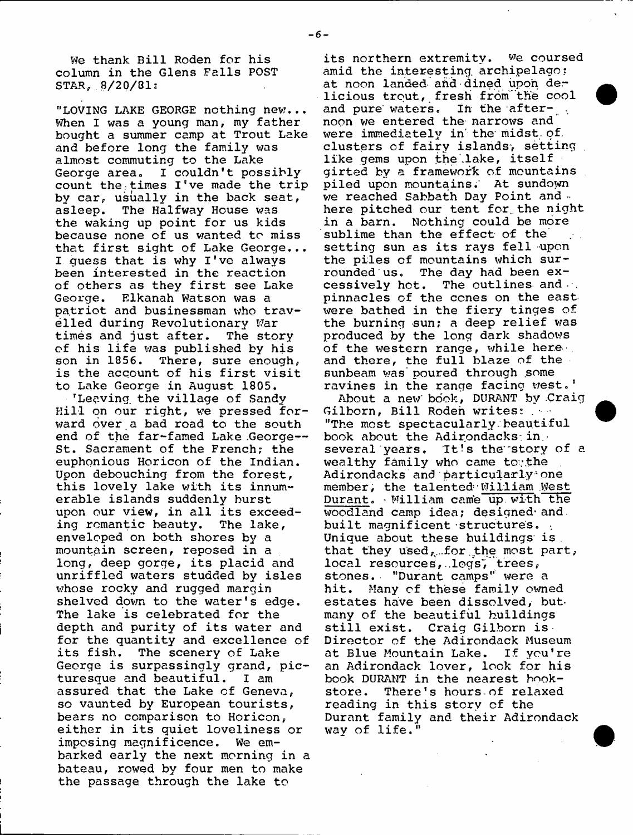We thank Bill Roden for his column in the Glens Falls POST  $STAR, 8/20/81:$ 

"LOVING LAKE GEORGE nothing hew... When I was a young man, my father bought a summer camp at Trout Lake and before long the family was almost commuting to the Lake George area. I couldn't possibly count the times I've made the trip by car, usually in the back seat, asleep. The Halfway House was the waking up point for us kids because none of us wanted to miss that first sight of Lake George... I guess that is why I've always been interested in the reaction of others as they first see Lake George. Elkanah Watson was a patriot and businessman who travelled during Revolutionary War times and just after. The story of his life was published by his son in 1856. There, sure enough, is the account of his first visit to Lake George in August 1805.

'Leaving the village of Sandy Rill on our right, we pressed forward oyer a bad road to the south end of the far-famed Lake George--St. Sacrament of the French; the euphonious Horicon of the Indian. Upon debouching from the forest, this lovely lake with its innumerable islands suddenly burst upon our view, in all its exceeding romantic beauty. The lake, enveloped on both shores by a mountain screen, reposed in a long, deep gorge, its placid and unriffled waters studded by isles whose rocky and rugged margin shelved down to the water's edge. The lake is celebrated for the depth and purity of its water and for the quantity and excellence of its fish. The scenery of Lake George is surpassingly grand, picturesque and beautiful. I am assured that the Lake of Geneva, so vaunted by European tourists, bears no comparison to Horicon, either in its quiet loveliness or imposing magnificence. We embarked early the next morning in a bateau, rowed by four men to make the passage through the lake to

its northern extremity. we coursed amid the interesting, archipelago: at noon landed- ahd dined upon der licious trout, fresh from'the cool and pure waters. In the afternoon we entered the- narrows and were immediately in' the' midst, of. clusters of fairy islands, setting. like gems upon the lake, itself girted by a framework of mountains piled upon mountains;' At sundown we reached Sabbath Day Point and here pitched our tent for. the night in a barn. Nothing could be more sublime than the effect of the setting sun as its rays fell upon the piles of mountains which surrounded us. The day had been excessively hot. The outlines and ... pinnacles of the cones on the east were bathed in the fiery tinges of the burning sun; a deep relief was produced by the long dark shadows of the western range, while here- . and there, the full blaze of the sunbeam was" poured through .some ravines in the range facing west.'

About a new book, DURANT by Craig Gilborn, Bill Roden writes: ... "The most spectacularly.beautiful book about the Adirondacks.in. several years. It's the story of a wealthy family who came tov.the Adirondacks and particularly<sup>2</sup> one member, the talented William West Durant. - William cam'e up with the woodland camp idea; designed-and built magnificent structures. Unique about these buildings is that they used, for the most part, local resources, logs, trees, stones. "Durant camps" were a hit. Many of these family owned estates have been dissolved, but many of the beautiful buildings still exist. Craig Gilborn is. Director of the Adirondack Museum at Blue Mountain Lake. If you're an Adirondack lover, look for his book DURANT in the nearest bookstore. There's hours-of relaxed reading in this story of the Durant family and their Adirondack way of life."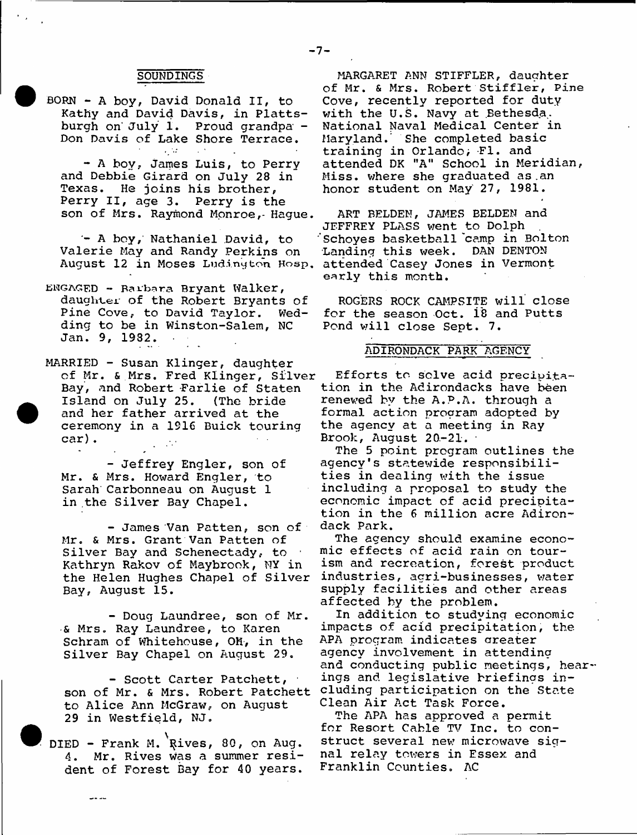### **SOUNDINGS**

BORN - A boy, David Donald II, to Kathy and David Davis, in Plattsburgh on' July 1. Proud grandpa - Don Davis of Lake Shore Terrace.

- A boy, James Luis, to Perry and Debbie Girard on July 28 in Texas. He joins his brother, Perry II, age 3. Perry is the son of Mrs. Raymond Monroe,- Hague.

A boy,' Nathaniel David, to Valerie May and Randy Perkins on August 12 in Moses **Ludington Hosp,** attended Casey Jones in Vermont

ENGAGED - Rarbara Bryant Walker, daughter of the Robert Bryants of<br>Pine Cove, to David Taylor. Wed-Pine Cove, to David Taylor. ding to be in Winston-Salem, NC Jan. 9, 1932.

MARRIED - Susan Klinger, daughter of Mr. & Mrs. Fred Klinger, Silver Bay, and Robert Farlie of Staten Island on July 25. (The bride and her father arrived at the ceremony in a 1916 Buick touring car) .

- Jeffrey Engler, son of Mr. & Mrs. Howard Engler, to Sarah Carbonneau on August 1 in the Silver Bay Chapel.

- James Van Patten, son of Mr. & Mrs. Grant Van Patten of Silver Bay and Schenectady, to Kathryn Rakov of Maybrook, NY in the Helen Hughes Chapel of Silver Bay, August 15.

- Doug Laundree, son of Mr. •& Mrs. Ray Laundree, to Karen Schram of Whitehouse, OH, in the Silver Bay Chapel on August 29.

- Scott Carter Patchett, ■ son of Mr. & Mrs. Robert Patchett to Alice Ann McGraw, on August 29 in Westfield, NJ.

DIED - Frank M. Rives, 80, on Aug. 4. Mr. Rives was a summer resident of Forest Bay for 40 years.

بالأحاب

MARGARET ANN STIFFLER, daughter of Mr. & Mrs. Robert Stiffler, Pine Cove, recently reported for duty with the U.S. Navy at Bethesda. National Naval Medical Center in Maryland.' She completed basic training in Orlando; FI. and attended DK "A" School in Meridian, Miss, where she graduated as .an honor student on May 27, 1981.

ART BELDEN, JAMES BELDEN and JEFFREY PLASS went *to* Dolph . Schoyes basketball 'camp in Bolton Landing this week. DAN DENTON early this month.

ROGERS ROCK CAMPSITE will close for the season Oct. 18 and Putts Pond will close Sept. 7.

### ADIRONDACK PARK AGENCY

Efforts to solve acid precipitation in the Adirondacks have been renewed by the A.P.A. through a formal action program adopted by the agency at a meeting in Ray Brook, August 20-21.

The 5 point program outlines the agency's statewide responsibilities in dealing with the issue including a proposal to study the economic impact of acid precipitation in the 6 million acre Adirondack Park.

The agency should examine economic effects of acid rain on tourism and recreation, forest product industries, agri-businesses, water supply facilities and other areas affected by the problem.

In addition to studying economic impacts of acid precipitation, the APA program indicates areater agency involvement in attending and conducting public meetings, hearings and legislative briefings including participation on the State Clean Air *Act* Task Force.

The APA has approved a permit for Resort Cable TV Inc. to construct several new microwave signal relay towers in Essex and Franklin Counties. AC